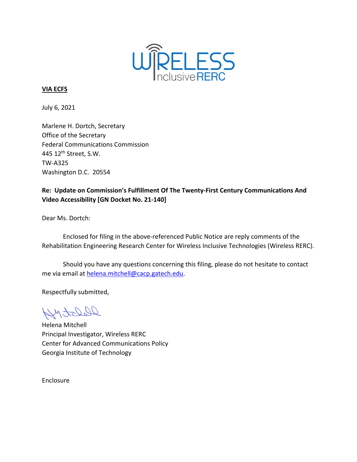

## **VIA ECFS**

July 6, 2021

Marlene H. Dortch, Secretary Office of the Secretary Federal Communications Commission 445 12th Street, S.W. TW-A325 Washington D.C. 20554

# **Re: Update on Commission's Fulfillment Of The Twenty-First Century Communications And Video Accessibility [GN Docket No. 21-140]**

Dear Ms. Dortch:

Enclosed for filing in the above-referenced Public Notice are reply comments of the Rehabilitation Engineering Research Center for Wireless Inclusive Technologies (Wireless RERC).

Should you have any questions concerning this filing, please do not hesitate to contact me via email at [helena.mitchell@cacp.gatech.edu.](mailto:helena.mitchell@cacp.gatech.edu)

Respectfully submitted,

Dleastry

Helena Mitchell Principal Investigator, Wireless RERC Center for Advanced Communications Policy Georgia Institute of Technology

Enclosure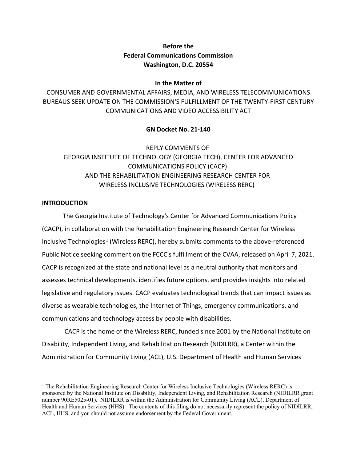# **Before the Federal Communications Commission Washington, D.C. 20554**

#### **In the Matter of**

CONSUMER AND GOVERNMENTAL AFFAIRS, MEDIA, AND WIRELESS TELECOMMUNICATIONS BUREAUS SEEK UPDATE ON THE COMMISSION'S FULFILLMENT OF THE TWENTY-FIRST CENTURY COMMUNICATIONS AND VIDEO ACCESSIBILITY ACT

## **GN Docket No. 21-140**

# REPLY COMMENTS OF GEORGIA INSTITUTE OF TECHNOLOGY (GEORGIA TECH), CENTER FOR ADVANCED COMMUNICATIONS POLICY (CACP) AND THE REHABILITATION ENGINEERING RESEARCH CENTER FOR WIRELESS INCLUSIVE TECHNOLOGIES (WIRELESS RERC)

#### **INTRODUCTION**

The Georgia Institute of Technology's Center for Advanced Communications Policy (CACP), in collaboration with the Rehabilitation Engineering Research Center for Wireless Inclusive Technologies[1](#page-1-0) (Wireless RERC), hereby submits comments to the above-referenced Public Notice seeking comment on the FCCC's fulfillment of the CVAA, released on April 7, 2021. CACP is recognized at the state and national level as a neutral authority that monitors and assesses technical developments, identifies future options, and provides insights into related legislative and regulatory issues. CACP evaluates technological trends that can impact issues as diverse as wearable technologies, the Internet of Things, emergency communications, and communications and technology access by people with disabilities.

CACP is the home of the Wireless RERC, funded since 2001 by the National Institute on Disability, Independent Living, and Rehabilitation Research (NIDILRR), a Center within the Administration for Community Living (ACL), U.S. Department of Health and Human Services

<span id="page-1-0"></span> $<sup>1</sup>$  The Rehabilitation Engineering Research Center for Wireless Inclusive Technologies (Wireless RERC) is</sup> sponsored by the National Institute on Disability, Independent Living, and Rehabilitation Research (NIDILRR grant number 90RE5025-01). NIDILRR is within the Administration for Community Living (ACL), Department of Health and Human Services (HHS). The contents of this filing do not necessarily represent the policy of NIDILRR, ACL, HHS, and you should not assume endorsement by the Federal Government.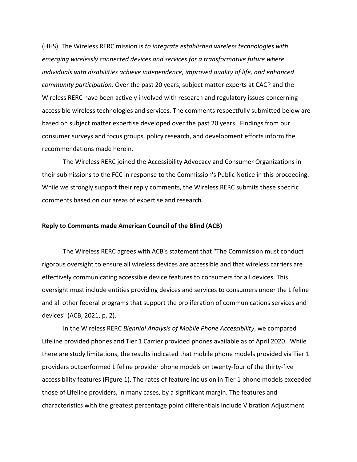(HHS). The Wireless RERC mission is *to integrate established wireless technologies with emerging wirelessly connected devices and services for a transformative future where individuals with disabilities achieve independence, improved quality of life, and enhanced community participation*. Over the past 20 years, subject matter experts at CACP and the Wireless RERC have been actively involved with research and regulatory issues concerning accessible wireless technologies and services. The comments respectfully submitted below are based on subject matter expertise developed over the past 20 years. Findings from our consumer surveys and focus groups, policy research, and development efforts inform the recommendations made herein.

The Wireless RERC joined the Accessibility Advocacy and Consumer Organizations in their submissions to the FCC in response to the Commission's Public Notice in this proceeding. While we strongly support their reply comments, the Wireless RERC submits these specific comments based on our areas of expertise and research.

#### **Reply to Comments made American Council of the Blind (ACB)**

The Wireless RERC agrees with ACB's statement that "The Commission must conduct rigorous oversight to ensure all wireless devices are accessible and that wireless carriers are effectively communicating accessible device features to consumers for all devices. This oversight must include entities providing devices and services to consumers under the Lifeline and all other federal programs that support the proliferation of communications services and devices" (ACB, 2021, p. 2).

In the Wireless RERC *Biennial Analysis of Mobile Phone Accessibility*, we compared Lifeline provided phones and Tier 1 Carrier provided phones available as of April 2020. While there are study limitations, the results indicated that mobile phone models provided via Tier 1 providers outperformed Lifeline provider phone models on twenty-four of the thirty-five accessibility features (Figure 1). The rates of feature inclusion in Tier 1 phone models exceeded those of Lifeline providers, in many cases, by a significant margin. The features and characteristics with the greatest percentage point differentials include Vibration Adjustment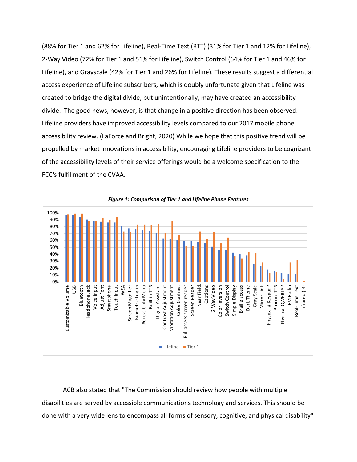(88% for Tier 1 and 62% for Lifeline), Real-Time Text (RTT) (31% for Tier 1 and 12% for Lifeline), 2-Way Video (72% for Tier 1 and 51% for Lifeline), Switch Control (64% for Tier 1 and 46% for Lifeline), and Grayscale (42% for Tier 1 and 26% for Lifeline). These results suggest a differential access experience of Lifeline subscribers, which is doubly unfortunate given that Lifeline was created to bridge the digital divide, but unintentionally, may have created an accessibility divide. The good news, however, is that change in a positive direction has been observed. Lifeline providers have improved accessibility levels compared to our 2017 mobile phone accessibility review. (LaForce and Bright, 2020) While we hope that this positive trend will be propelled by market innovations in accessibility, encouraging Lifeline providers to be cognizant of the accessibility levels of their service offerings would be a welcome specification to the FCC's fulfillment of the CVAA.



*Figure 1: Comparison of Tier 1 and Lifeline Phone Features*

ACB also stated that "The Commission should review how people with multiple disabilities are served by accessible communications technology and services. This should be done with a very wide lens to encompass all forms of sensory, cognitive, and physical disability"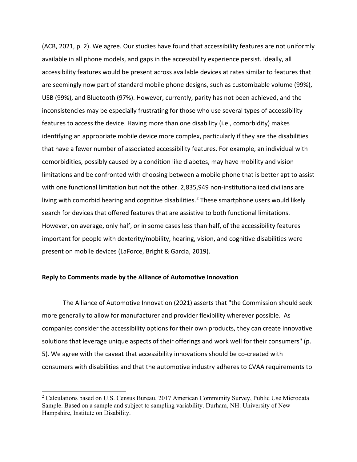(ACB, 2021, p. 2). We agree. Our studies have found that accessibility features are not uniformly available in all phone models, and gaps in the accessibility experience persist. Ideally, all accessibility features would be present across available devices at rates similar to features that are seemingly now part of standard mobile phone designs, such as customizable volume (99%), USB (99%), and Bluetooth (97%). However, currently, parity has not been achieved, and the inconsistencies may be especially frustrating for those who use several types of accessibility features to access the device. Having more than one disability (i.e., comorbidity) makes identifying an appropriate mobile device more complex, particularly if they are the disabilities that have a fewer number of associated accessibility features. For example, an individual with comorbidities, possibly caused by a condition like diabetes, may have mobility and vision limitations and be confronted with choosing between a mobile phone that is better apt to assist with one functional limitation but not the other. 2,835,949 non-institutionalized civilians are living with comorbid hearing and cognitive disabilities.<sup>[2](#page-4-0)</sup> These smartphone users would likely search for devices that offered features that are assistive to both functional limitations. However, on average, only half, or in some cases less than half, of the accessibility features important for people with dexterity/mobility, hearing, vision, and cognitive disabilities were present on mobile devices (LaForce, Bright & Garcia, 2019).

#### **Reply to Comments made by the Alliance of Automotive Innovation**

The Alliance of Automotive Innovation (2021) asserts that "the Commission should seek more generally to allow for manufacturer and provider flexibility wherever possible. As companies consider the accessibility options for their own products, they can create innovative solutions that leverage unique aspects of their offerings and work well for their consumers" (p. 5). We agree with the caveat that accessibility innovations should be co-created with consumers with disabilities and that the automotive industry adheres to CVAA requirements to

<span id="page-4-0"></span><sup>&</sup>lt;sup>2</sup> Calculations based on U.S. Census Bureau, 2017 American Community Survey, Public Use Microdata Sample. Based on a sample and subject to sampling variability. Durham, NH: University of New Hampshire, Institute on Disability.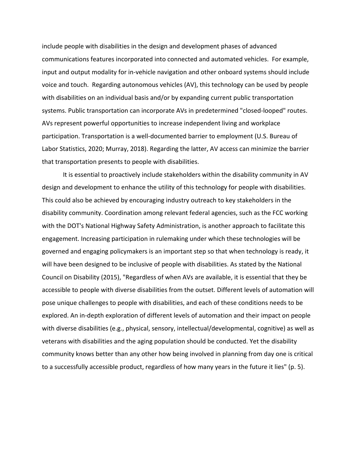include people with disabilities in the design and development phases of advanced communications features incorporated into connected and automated vehicles. For example, input and output modality for in-vehicle navigation and other onboard systems should include voice and touch. Regarding autonomous vehicles (AV), this technology can be used by people with disabilities on an individual basis and/or by expanding current public transportation systems. Public transportation can incorporate AVs in predetermined "closed-looped" routes. AVs represent powerful opportunities to increase independent living and workplace participation. Transportation is a well-documented barrier to employment (U.S. Bureau of Labor Statistics, 2020; Murray, 2018). Regarding the latter, AV access can minimize the barrier that transportation presents to people with disabilities.

It is essential to proactively include stakeholders within the disability community in AV design and development to enhance the utility of this technology for people with disabilities. This could also be achieved by encouraging industry outreach to key stakeholders in the disability community. Coordination among relevant federal agencies, such as the FCC working with the DOT's National Highway Safety Administration, is another approach to facilitate this engagement. Increasing participation in rulemaking under which these technologies will be governed and engaging policymakers is an important step so that when technology is ready, it will have been designed to be inclusive of people with disabilities. As stated by the National Council on Disability (2015), "Regardless of when AVs are available, it is essential that they be accessible to people with diverse disabilities from the outset. Different levels of automation will pose unique challenges to people with disabilities, and each of these conditions needs to be explored. An in-depth exploration of different levels of automation and their impact on people with diverse disabilities (e.g., physical, sensory, intellectual/developmental, cognitive) as well as veterans with disabilities and the aging population should be conducted. Yet the disability community knows better than any other how being involved in planning from day one is critical to a successfully accessible product, regardless of how many years in the future it lies" (p. 5).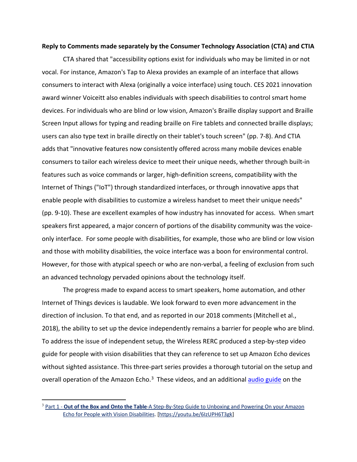#### **Reply to Comments made separately by the Consumer Technology Association (CTA) and CTIA**

CTA shared that "accessibility options exist for individuals who may be limited in or not vocal. For instance, Amazon's Tap to Alexa provides an example of an interface that allows consumers to interact with Alexa (originally a voice interface) using touch. CES 2021 innovation award winner Voiceitt also enables individuals with speech disabilities to control smart home devices. For individuals who are blind or low vision, Amazon's Braille display support and Braille Screen Input allows for typing and reading braille on Fire tablets and connected braille displays; users can also type text in braille directly on their tablet's touch screen" (pp. 7-8). And CTIA adds that "innovative features now consistently offered across many mobile devices enable consumers to tailor each wireless device to meet their unique needs, whether through built-in features such as voice commands or larger, high-definition screens, compatibility with the Internet of Things ("IoT") through standardized interfaces, or through innovative apps that enable people with disabilities to customize a wireless handset to meet their unique needs" (pp. 9-10). These are excellent examples of how industry has innovated for access. When smart speakers first appeared, a major concern of portions of the disability community was the voiceonly interface. For some people with disabilities, for example, those who are blind or low vision and those with mobility disabilities, the voice interface was a boon for environmental control. However, for those with atypical speech or who are non-verbal, a feeling of exclusion from such an advanced technology pervaded opinions about the technology itself.

The progress made to expand access to smart speakers, home automation, and other Internet of Things devices is laudable. We look forward to even more advancement in the direction of inclusion. To that end, and as reported in our 2018 comments (Mitchell et al., 2018), the ability to set up the device independently remains a barrier for people who are blind. To address the issue of independent setup, the Wireless RERC produced a step-by-step video guide for people with vision disabilities that they can reference to set up Amazon Echo devices without sighted assistance. This three-part series provides a thorough tutorial on the setup and overall operation of the Amazon Echo. $3$  These videos, and an additional [audio guide](https://garrs.org/listen/echodot/) on the

<span id="page-6-0"></span><sup>3</sup> Part 1 - **Out of the Box and Onto the Table**[-A Step-By-Step Guide to Unboxing and Powering On your Amazon](https://youtu.be/6IzUPH6T3gk)  [Echo for People with Vision Disabilities. \[https://youtu.be/6IzUPH6T3gk\]](https://youtu.be/6IzUPH6T3gk)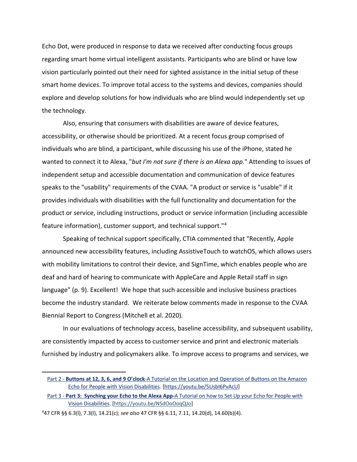Echo Dot, were produced in response to data we received after conducting focus groups regarding smart home virtual intelligent assistants. Participants who are blind or have low vision particularly pointed out their need for sighted assistance in the initial setup of these smart home devices. To improve total access to the systems and devices, companies should explore and develop solutions for how individuals who are blind would independently set up the technology.

Also, ensuring that consumers with disabilities are aware of device features, accessibility, or otherwise should be prioritized. At a recent focus group comprised of individuals who are blind, a participant, while discussing his use of the iPhone, stated he wanted to connect it to Alexa, "*but I'm not sure if there is an Alexa app.*" Attending to issues of independent setup and accessible documentation and communication of device features speaks to the "usability" requirements of the CVAA. "A product or service is "usable" if it provides individuals with disabilities with the full functionality and documentation for the product or service, including instructions, product or service information (including accessible feature information), customer support, and technical support."<sup>[4](#page-7-0)</sup>

Speaking of technical support specifically, CTIA commented that "Recently, Apple announced new accessibility features, including AssistiveTouch to watchOS, which allows users with mobility limitations to control their device, and SignTime, which enables people who are deaf and hard of hearing to communicate with AppleCare and Apple Retail staff in sign language" (p. 9). Excellent! We hope that such accessible and inclusive business practices become the industry standard. We reiterate below comments made in response to the CVAA Biennial Report to Congress (Mitchell et al. 2020).

In our evaluations of technology access, baseline accessibility, and subsequent usability, are consistently impacted by access to customer service and print and electronic materials furnished by industry and policymakers alike. To improve access to programs and services, we

Part 2 - **Buttons at 12, 3, 6, and 9 O'clock**[-A Tutorial on the Location and Operation of Buttons on the Amazon](https://youtu.be/5UsbI6PvAcU)  [Echo for People with Vision Disabilities. \[https://youtu.be/5UsbI6PvAcU\]](https://youtu.be/5UsbI6PvAcU)

Part 3 - **Part 3: Synching your Echo to the Alexa App-**[A Tutorial on how to Set Up your Echo for People with](https://youtu.be/NSdOoOoqQJo)  [Vision Disabilities.](https://youtu.be/NSdOoOoqQJo) [\[https://youtu.be/NSdOoOoqQJo\]](https://youtu.be/NSdOoOoqQJo)

<span id="page-7-0"></span><sup>4</sup> 47 CFR §§ 6.3(l), 7.3(l), 14.21(c); *see also* 47 CFR §§ 6.11, 7.11, 14.20(d), 14.60(b)(4).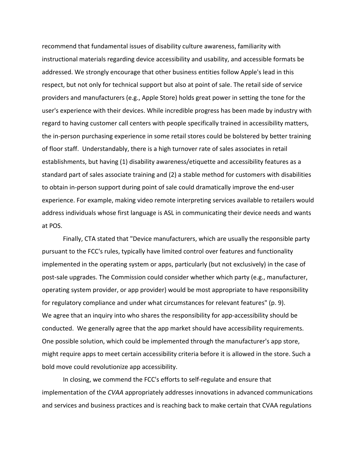recommend that fundamental issues of disability culture awareness, familiarity with instructional materials regarding device accessibility and usability, and accessible formats be addressed. We strongly encourage that other business entities follow Apple's lead in this respect, but not only for technical support but also at point of sale. The retail side of service providers and manufacturers (e.g., Apple Store) holds great power in setting the tone for the user's experience with their devices. While incredible progress has been made by industry with regard to having customer call centers with people specifically trained in accessibility matters, the in-person purchasing experience in some retail stores could be bolstered by better training of floor staff. Understandably, there is a high turnover rate of sales associates in retail establishments, but having (1) disability awareness/etiquette and accessibility features as a standard part of sales associate training and (2) a stable method for customers with disabilities to obtain in-person support during point of sale could dramatically improve the end-user experience. For example, making video remote interpreting services available to retailers would address individuals whose first language is ASL in communicating their device needs and wants at POS.

Finally, CTA stated that "Device manufacturers, which are usually the responsible party pursuant to the FCC's rules, typically have limited control over features and functionality implemented in the operating system or apps, particularly (but not exclusively) in the case of post-sale upgrades. The Commission could consider whether which party (e.g., manufacturer, operating system provider, or app provider) would be most appropriate to have responsibility for regulatory compliance and under what circumstances for relevant features" (p. 9). We agree that an inquiry into who shares the responsibility for app-accessibility should be conducted. We generally agree that the app market should have accessibility requirements. One possible solution, which could be implemented through the manufacturer's app store, might require apps to meet certain accessibility criteria before it is allowed in the store. Such a bold move could revolutionize app accessibility.

In closing, we commend the FCC's efforts to self-regulate and ensure that implementation of the *CVAA* appropriately addresses innovations in advanced communications and services and business practices and is reaching back to make certain that CVAA regulations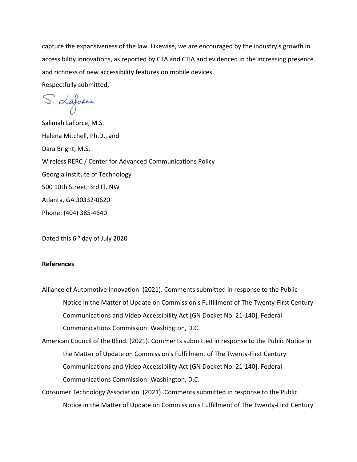capture the expansiveness of the law. Likewise, we are encouraged by the industry's growth in accessibility innovations, as reported by CTA and CTIA and evidenced in the increasing presence and richness of new accessibility features on mobile devices.

Respectfully submitted,

S. Laforce

Salimah LaForce, M.S. Helena Mitchell, Ph.D., and Dara Bright, M.S. Wireless RERC / Center for Advanced Communications Policy Georgia Institute of Technology 500 10th Street, 3rd Fl. NW Atlanta, GA 30332-0620 Phone: (404) 385-4640

Dated this 6th day of July 2020

## **References**

- Alliance of Automotive Innovation. (2021). Comments submitted in response to the Public Notice in the Matter of Update on Commission's Fulfillment of The Twenty-First Century Communications and Video Accessibility Act [GN Docket No. 21-140]. Federal Communications Commission: Washington, D.C.
- American Council of the Blind. (2021). Comments submitted in response to the Public Notice in the Matter of Update on Commission's Fulfillment of The Twenty-First Century Communications and Video Accessibility Act [GN Docket No. 21-140]. Federal Communications Commission: Washington, D.C.
- Consumer Technology Association. (2021). Comments submitted in response to the Public Notice in the Matter of Update on Commission's Fulfillment of The Twenty-First Century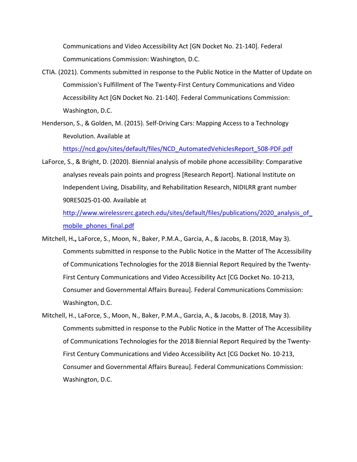Communications and Video Accessibility Act [GN Docket No. 21-140]. Federal Communications Commission: Washington, D.C.

- CTIA. (2021). Comments submitted in response to the Public Notice in the Matter of Update on Commission's Fulfillment of The Twenty-First Century Communications and Video Accessibility Act [GN Docket No. 21-140]. Federal Communications Commission: Washington, D.C.
- Henderson, S., & Golden, M. (2015). Self-Driving Cars: Mapping Access to a Technology Revolution. Available at

[https://ncd.gov/sites/default/files/NCD\\_AutomatedVehiclesReport\\_508-PDF.pdf](https://ncd.gov/sites/default/files/NCD_AutomatedVehiclesReport_508-PDF.pdf)

LaForce, S., & Bright, D. (2020). Biennial analysis of mobile phone accessibility: Comparative analyses reveals pain points and progress [Research Report]. National Institute on Independent Living, Disability, and Rehabilitation Research, NIDILRR grant number 90RE5025-01-00. Available at

http://www.wirelessrerc.gatech.edu/sites/default/files/publications/2020\_analysis\_of [mobile\\_phones\\_final.pdf](http://www.wirelessrerc.gatech.edu/sites/default/files/publications/2020_analysis_of_mobile_phones_final.pdf)

- Mitchell, H**.,** LaForce, S., Moon, N., Baker, P.M.A., Garcia, A., & Jacobs, B. (2018, May 3). Comments submitted in response to the Public Notice in the Matter of The Accessibility of Communications Technologies for the 2018 Biennial Report Required by the Twenty-First Century Communications and Video Accessibility Act [CG Docket No. 10-213, Consumer and Governmental Affairs Bureau]. Federal Communications Commission: Washington, D.C.
- Mitchell, H., LaForce, S., Moon, N., Baker, P.M.A., Garcia, A., & Jacobs, B. (2018, May 3). Comments submitted in response to the Public Notice in the Matter of The Accessibility of Communications Technologies for the 2018 Biennial Report Required by the Twenty-First Century Communications and Video Accessibility Act [CG Docket No. 10-213, Consumer and Governmental Affairs Bureau]. Federal Communications Commission: Washington, D.C.